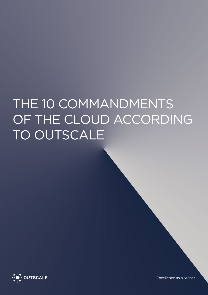# THE 10 COMMANDMENTS OF THE CLOUD ACCORDING TO OUTSCALE



Excellence as a Service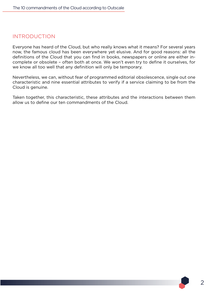#### INTRODUCTION

Everyone has heard of the Cloud, but who really knows what it means? For several years now, the famous cloud has been everywhere yet elusive. And for good reasons: all the definitions of the Cloud that you can find in books, newspapers or online are either incomplete or obsolete – often both at once. We won't even try to define it ourselves, for we know all too well that any definition will only be temporary.

Nevertheless, we can, without fear of programmed editorial obsolescence, single out one characteristic and nine essential attributes to verify if a service claiming to be from the Cloud is genuine.

Taken together, this characteristic, these attributes and the interactions between them allow us to define our ten commandments of the Cloud.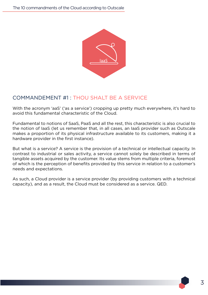

# COMMANDEMENT #1 : THOU SHALT BE A SERVICE

With the acronym 'aaS' ('as a service') cropping up pretty much everywhere, it's hard to avoid this fundamental characteristic of the Cloud.

Fundamental to notions of SaaS, PaaS and all the rest, this characteristic is also crucial to the notion of IaaS (let us remember that, in all cases, an IaaS provider such as Outscale makes a proportion of its physical infrastructure available to its customers, making it a hardware provider in the first instance).

But what is a service? A service is the provision of a technical or intellectual capacity. In contrast to industrial or sales activity, a service cannot solely be described in terms of tangible assets acquired by the customer. Its value stems from multiple criteria, foremost of which is the perception of benefits provided by this service in relation to a customer's needs and expectations.

As such, a Cloud provider is a service provider (by providing customers with a technical capacity), and as a result, the Cloud must be considered as a service. QED.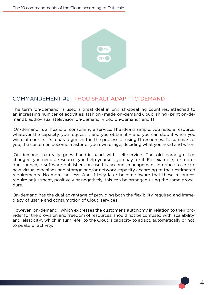

## COMMANDEMENT #2 : THOU SHALT ADAPT TO DEMAND

The term 'on-demand' is used a great deal in English-speaking countries, attached to an increasing number of activities: fashion (made on-demand), publishing (print on-demand), audiovisual (television on-demand, video on-demand) and IT.

'On-demand' is a means of consuming a service. The idea is simple: you need a resource, whatever the capacity, you request it and you obtain it – and you can stop it when you wish, of course. It's a paradigm shift in the process of using IT resources. To summarize: you, the customer, become master of you own usage, deciding what you need and when.

'On-demand' naturally goes hand-in-hand with self-service. The old paradigm has changed: you need a resource, you help yourself, you pay for it. For example, for a product launch, a software publisher can use his account management interface to create new virtual machines and storage and/or network capacity according to their estimated requirements. No more, no less. And if they later become aware that these resources require adjustment, positively or negatively, this can be arranged using the same procedure.

On-demand has the dual advantage of providing both the flexibility required and immediacy of usage and consumption of Cloud services.

However, 'on-demand', which expresses the customer's autonomy in relation to their provider for the provision and freedom of resources, should not be confused with 'scalability' and 'elasticity', which in turn refer to the Cloud's capacity to adapt, automatically or not, to peaks of activity.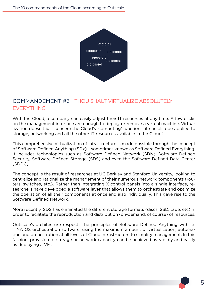

# COMMANDEMENT #3 : THOU SHALT VIRTUALIZE ABSOLUTELY EVERYTHING

With the Cloud, a company can easily adjust their IT resources at any time. A few clicks on the management interface are enough to deploy or remove a virtual machine. Virtualization doesn't just concern the Cloud's 'computing' functions; it can also be applied to storage, networking and all the other IT resources available in the Cloud!

This comprehensive virtualization of infrastructure is made possible through the concept of Software Defined Anything (SDx) – sometimes known as Software Defined Everything. It includes technologies such as Software Defined Network (SDN), Software Defined Security, Software Defined Storage (SDS) and even the Software Defined Data Center (SDDC).

The concept is the result of researches at UC Berkley and Stanford University, looking to centralize and rationalize the management of their numerous network components (routers, switches, etc.). Rather than integrating X control panels into a single interface, researchers have developed a software layer that allows them to orchestrate and optimize the operation of all their components at once and also individually. This gave rise to the Software Defined Network.

More recently, SDS has eliminated the different storage formats (discs, SSD, tape, etc) in order to facilitate the reproduction and distribution (on-demand, of course) of resources.

Outscale's architecture respects the principles of Software Defined Anything with its TINA OS orchestration software: using the maximum amount of virtualization, automation and orchestration at all levels of Cloud infrastructure to simplify management. In this fashion, provision of storage or network capacity can be achieved as rapidly and easily as deploying a VM.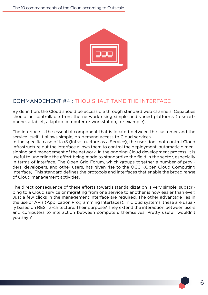

# COMMANDEMENT #4 : THOU SHALT TAME THE INTERFACE

By definition, the Cloud should be accessible through standard web channels. Capacities should be controllable from the network using simple and varied platforms (a smartphone, a tablet, a laptop computer or workstation, for example).

The interface is the essential component that is located between the customer and the service itself. It allows simple, on-demand access to Cloud services.

In the specific case of IaaS (Infrastructure as a Service), the user does not control Cloud infrastructure but the interface allows them to control the deployment, automatic dimensioning and management of the network. In the ongoing Cloud development process, it is useful to underline the effort being made to standardize the field in the sector, especially in terms of interface. The Open Grid Forum, which groups together a number of providers, developers, and other users, has given rise to the OCCI (Open Cloud Computing Interface). This standard defines the protocols and interfaces that enable the broad range of Cloud management activities.

The direct consequence of these efforts towards standardization is very simple: subscribing to a Cloud service or migrating from one service to another is now easier than ever! Just a few clicks in the management interface are required. The other advantage lies in the use of APIs (Application Programming Interfaces). In Cloud systems, these are usually based on REST architecture. Their purpose? They extend the interaction between users and computers to interaction between computers themselves. Pretty useful, wouldn't you say ?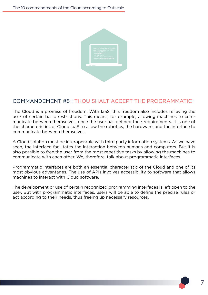

# COMMANDEMENT #5 : THOU SHALT ACCEPT THE PROGRAMMATIC

The Cloud is a promise of freedom. With IaaS, this freedom also includes relieving the user of certain basic restrictions. This means, for example, allowing machines to communicate between themselves, once the user has defined their requirements. It is one of the characteristics of Cloud IaaS to allow the robotics, the hardware, and the interface to communicate between themselves.

A Cloud solution must be interoperable with third party information systems. As we have seen, the interface facilitates the interaction between humans and computers. But it is also possible to free the user from the most repetitive tasks by allowing the machines to communicate with each other. We, therefore, talk about programmatic interfaces.

Programmatic interfaces are both an essential characteristic of the Cloud and one of its most obvious advantages. The use of APIs involves accessibility to software that allows machines to interact with Cloud software.

The development or use of certain recognized programming interfaces is left open to the user. But with programmatic interfaces, users will be able to define the precise rules or act according to their needs, thus freeing up necessary resources.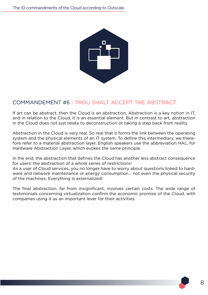

# COMMANDEMENT #6 : THOU SHALT ACCEPT THE ABSTRACT

If art can be abstract, then the Cloud is an abstraction. Abstraction is a key notion in IT, and in relation to the Cloud, it is an essential element. But in contrast to art, abstraction in the Cloud does not just relate to deconstruction or taking a step back from reality.

Abstraction in the Cloud is very real. So real that it forms the link between the operating system and the physical elements of an IT system. To define this intermediary, we therefore refer to a material abstraction layer. English speakers use the abbreviation HAL, for Hardware Abstraction Layer, which evokes the same principle.

In the end, the abstraction that defines the Cloud has another less abstract consequence for users: the abstraction of a whole series of restrictions!

As a user of Cloud services, you no longer have to worry about questions linked to hardware and network maintenance or energy consumption... not even the physical security of the machines. Everything is externalized!

The final abstraction, far from insignificant, involves certain costs. The wide range of testimonials concerning virtualization confirm the economic promise of the Cloud, with companies using it as an important lever for their activities.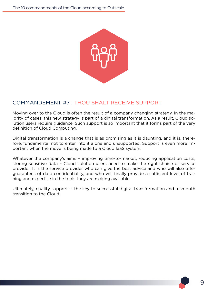

## COMMANDEMENT #7 : THOU SHALT RECEIVE SUPPORT

Moving over to the Cloud is often the result of a company changing strategy. In the majority of cases, this new strategy is part of a digital transformation. As a result, Cloud solution users require guidance. Such support is so important that it forms part of the very definition of Cloud Computing.

Digital transformation is a change that is as promising as it is daunting, and it is, therefore, fundamental not to enter into it alone and unsupported. Support is even more important when the move is being made to a Cloud IaaS system.

Whatever the company's aims – improving time-to-market, reducing application costs, storing sensitive data – Cloud solution users need to make the right choice of service provider. It is the service provider who can give the best advice and who will also offer guarantees of data confidentiality, and who will finally provide a sufficient level of training and expertise in the tools they are making available.

Ultimately, quality support is the key to successful digital transformation and a smooth transition to the Cloud.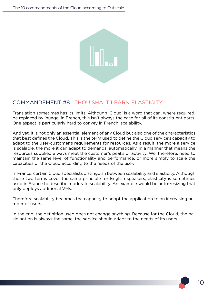

## COMMANDEMENT #8 : THOU SHALT LEARN ELASTICITY

Translation sometimes has its limits. Although 'Cloud' is a word that can, where required, be replaced by 'nuage' in French, this isn't always the case for all of its constituent parts. One aspect is particularly hard to convey in French: scalability.

And yet, it is not only an essential element of any Cloud but also one of the characteristics that best defines the Cloud. This is the term used to define the Cloud service's capacity to adapt to the user-customer's requirements for resources. As a result, the more a service is scalable, the more it can adapt to demands, automatically, in a manner that means the resources supplied always meet the customer's peaks of activity. We, therefore, need to maintain the same level of functionality and performance, or more simply to scale the capacities of the Cloud according to the needs of the user.

In France, certain Cloud specialists distinguish between scalability and elasticity. Although these two terms cover the same principle for English speakers, elasticity is sometimes used in France to describe moderate scalability. An example would be auto-resizing that only deploys additional VMs.

Therefore scalability becomes the capacity to adapt the application to an increasing number of users.

In the end, the definition used does not change anything. Because for the Cloud, the basic notion is always the same: the service should adapt to the needs of its users.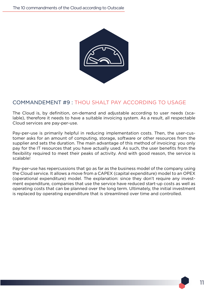

## COMMANDEMENT #9 : THOU SHALT PAY ACCORDING TO USAGE

The Cloud is, by definition, on-demand and adjustable according to user needs (scalable), therefore it needs to have a suitable invoicing system. As a result, all respectable Cloud services are pay-per-use.

Pay-per-use is primarily helpful in reducing implementation costs. Then, the user-customer asks for an amount of computing, storage, software or other resources from the supplier and sets the duration. The main advantage of this method of invoicing: you only pay for the IT resources that you have actually used. As such, the user benefits from the flexibility required to meet their peaks of activity. And with good reason, the service is scalable!

Pay-per-use has repercussions that go as far as the business model of the company using the Cloud service. It allows a move from a CAPEX (capital expenditure) model to an OPEX (operational expenditure) model. The explanation: since they don't require any investment expenditure, companies that use the service have reduced start-up costs as well as operating costs that can be planned over the long term. Ultimately, the initial investment is replaced by operating expenditure that is streamlined over time and controlled.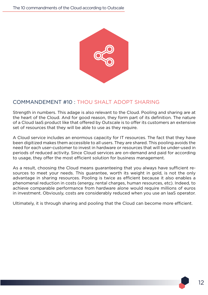

## COMMANDEMENT #10 : THOU SHALT ADOPT SHARING

Strength in numbers. This adage is also relevant to the Cloud. Pooling and sharing are at the heart of the Cloud. And for good reason, they form part of its definition. The nature of a Cloud IaaS product like that offered by Outscale is to offer its customers an extensive set of resources that they will be able to use as they require.

A Cloud service includes an enormous capacity for IT resources. The fact that they have been digitized makes them accessible to all users. They are shared. This pooling avoids the need for each user-customer to invest in hardware or resources that will be under-used in periods of reduced activity. Since Cloud services are on-demand and paid for according to usage, they offer the most efficient solution for business management.

As a result, choosing the Cloud means guaranteeing that you always have sufficient resources to meet your needs. This guarantee, worth its weight in gold, is not the only advantage in sharing resources. Pooling is twice as efficient because it also enables a phenomenal reduction in costs (energy, rental charges, human resources, etc). Indeed, to achieve comparable performance from hardware alone would require millions of euros in investment. Obviously, costs are considerably reduced when you use an IaaS operator.

Ultimately, it is through sharing and pooling that the Cloud can become more efficient.